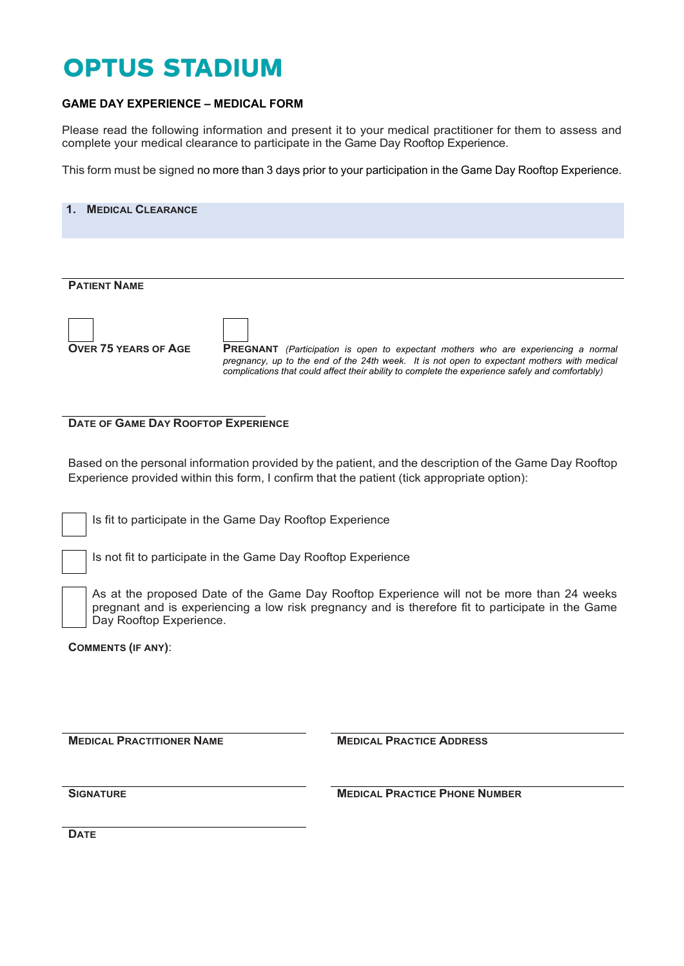## **OPTUS STADIUM**

## **GAME DAY EXPERIENCE – MEDICAL FORM**

Please read the following information and present it to your medical practitioner for them to assess and complete your medical clearance to participate in the Game Day Rooftop Experience.

This form must be signed no more than 3 days prior to your participation in the Game Day Rooftop Experience.

| 1. MEDICAL CLEARANCE        |                                                                                                                                                                                                                                                                                              |
|-----------------------------|----------------------------------------------------------------------------------------------------------------------------------------------------------------------------------------------------------------------------------------------------------------------------------------------|
|                             |                                                                                                                                                                                                                                                                                              |
| <b>PATIENT NAME</b>         |                                                                                                                                                                                                                                                                                              |
| <b>OVER 75 YEARS OF AGE</b> | <b>PREGNANT</b> (Participation is open to expectant mothers who are experiencing a normal<br>pregnancy, up to the end of the 24th week. It is not open to expectant mothers with medical<br>complications that could affect their ability to complete the experience safely and comfortably) |

**DATE OF GAME DAY ROOFTOP EXPERIENCE**

Based on the personal information provided by the patient, and the description of the Game Day Rooftop Experience provided within this form, I confirm that the patient (tick appropriate option):

Is fit to participate in the Game Day Rooftop Experience

Is not fit to participate in the Game Day Rooftop Experience

As at the proposed Date of the Game Day Rooftop Experience will not be more than 24 weeks pregnant and is experiencing a low risk pregnancy and is therefore fit to participate in the Game Day Rooftop Experience.

**COMMENTS (IF ANY)**:

**MEDICAL PRACTITIONER NAME MEDICAL PRACTICE ADDRESS** 

**SIGNATURE MEDICAL PRACTICE PHONE NUMBER**

**DATE**